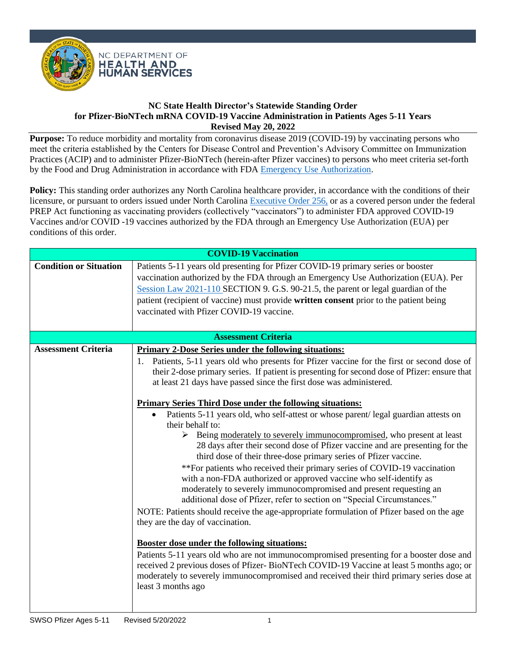

**Purpose:** To reduce morbidity and mortality from coronavirus disease 2019 (COVID-19) by vaccinating persons who meet the criteria established by the Centers for Disease Control and Prevention's Advisory Committee on Immunization Practices (ACIP) and to administer Pfizer-BioNTech (herein-after Pfizer vaccines) to persons who meet criteria set-forth by the Food and Drug Administration in accordance with FDA [Emergency Use Authorization.](https://labeling.pfizer.com/ShowLabeling.aspx?id=16073&format=pdf)

Policy: This standing order authorizes any North Carolina healthcare provider, in accordance with the conditions of their licensure, or pursuant to orders issued under North Carolina [Executive Order 256,](https://governor.nc.gov/media/3160/open) or as a covered person under the federal PREP Act functioning as vaccinating providers (collectively "vaccinators") to administer FDA approved COVID-19 Vaccines and/or COVID -19 vaccines authorized by the FDA through an Emergency Use Authorization (EUA) per conditions of this order.

| <b>COVID-19 Vaccination</b>   |                                                                                                                                                                                                                                                                                                                                                                                                    |  |  |
|-------------------------------|----------------------------------------------------------------------------------------------------------------------------------------------------------------------------------------------------------------------------------------------------------------------------------------------------------------------------------------------------------------------------------------------------|--|--|
| <b>Condition or Situation</b> | Patients 5-11 years old presenting for Pfizer COVID-19 primary series or booster<br>vaccination authorized by the FDA through an Emergency Use Authorization (EUA). Per<br>Session Law 2021-110 SECTION 9. G.S. 90-21.5, the parent or legal guardian of the<br>patient (recipient of vaccine) must provide written consent prior to the patient being<br>vaccinated with Pfizer COVID-19 vaccine. |  |  |
| <b>Assessment Criteria</b>    |                                                                                                                                                                                                                                                                                                                                                                                                    |  |  |
| <b>Assessment Criteria</b>    | <b>Primary 2-Dose Series under the following situations:</b>                                                                                                                                                                                                                                                                                                                                       |  |  |
|                               | 1. Patients, 5-11 years old who presents for Pfizer vaccine for the first or second dose of<br>their 2-dose primary series. If patient is presenting for second dose of Pfizer: ensure that<br>at least 21 days have passed since the first dose was administered.                                                                                                                                 |  |  |
|                               | <b>Primary Series Third Dose under the following situations:</b>                                                                                                                                                                                                                                                                                                                                   |  |  |
|                               | Patients 5-11 years old, who self-attest or whose parent/legal guardian attests on                                                                                                                                                                                                                                                                                                                 |  |  |
|                               | their behalf to:                                                                                                                                                                                                                                                                                                                                                                                   |  |  |
|                               | Event Being moderately to severely immunocompromised, who present at least<br>28 days after their second dose of Pfizer vaccine and are presenting for the<br>third dose of their three-dose primary series of Pfizer vaccine.                                                                                                                                                                     |  |  |
|                               | **For patients who received their primary series of COVID-19 vaccination<br>with a non-FDA authorized or approved vaccine who self-identify as<br>moderately to severely immunocompromised and present requesting an                                                                                                                                                                               |  |  |
|                               | additional dose of Pfizer, refer to section on "Special Circumstances."                                                                                                                                                                                                                                                                                                                            |  |  |
|                               | NOTE: Patients should receive the age-appropriate formulation of Pfizer based on the age                                                                                                                                                                                                                                                                                                           |  |  |
|                               | they are the day of vaccination.                                                                                                                                                                                                                                                                                                                                                                   |  |  |
|                               | <b>Booster dose under the following situations:</b>                                                                                                                                                                                                                                                                                                                                                |  |  |
|                               | Patients 5-11 years old who are not immunocompromised presenting for a booster dose and<br>received 2 previous doses of Pfizer-BioNTech COVID-19 Vaccine at least 5 months ago; or<br>moderately to severely immunocompromised and received their third primary series dose at<br>least 3 months ago                                                                                               |  |  |
|                               |                                                                                                                                                                                                                                                                                                                                                                                                    |  |  |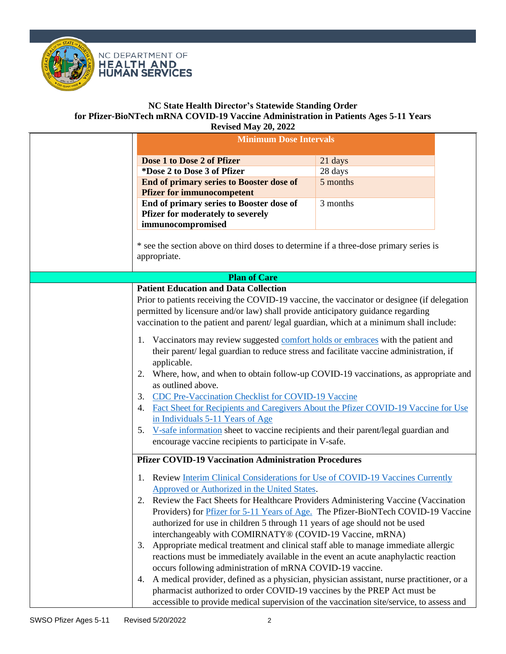



| Dose 1 to Dose 2 of Pfizer<br>*Dose 2 to Dose 3 of Pfizer                                                                                                                                                                                                                                                                                                                                                                                                                                                                                                                                                                                                                                                                                                                                                                                                                                             | 21 days  |
|-------------------------------------------------------------------------------------------------------------------------------------------------------------------------------------------------------------------------------------------------------------------------------------------------------------------------------------------------------------------------------------------------------------------------------------------------------------------------------------------------------------------------------------------------------------------------------------------------------------------------------------------------------------------------------------------------------------------------------------------------------------------------------------------------------------------------------------------------------------------------------------------------------|----------|
|                                                                                                                                                                                                                                                                                                                                                                                                                                                                                                                                                                                                                                                                                                                                                                                                                                                                                                       |          |
|                                                                                                                                                                                                                                                                                                                                                                                                                                                                                                                                                                                                                                                                                                                                                                                                                                                                                                       |          |
|                                                                                                                                                                                                                                                                                                                                                                                                                                                                                                                                                                                                                                                                                                                                                                                                                                                                                                       | 28 days  |
| <b>End of primary series to Booster dose of</b>                                                                                                                                                                                                                                                                                                                                                                                                                                                                                                                                                                                                                                                                                                                                                                                                                                                       | 5 months |
| <b>Pfizer for immunocompetent</b>                                                                                                                                                                                                                                                                                                                                                                                                                                                                                                                                                                                                                                                                                                                                                                                                                                                                     |          |
| End of primary series to Booster dose of<br>Pfizer for moderately to severely<br>immunocompromised                                                                                                                                                                                                                                                                                                                                                                                                                                                                                                                                                                                                                                                                                                                                                                                                    | 3 months |
| * see the section above on third doses to determine if a three-dose primary series is<br>appropriate.                                                                                                                                                                                                                                                                                                                                                                                                                                                                                                                                                                                                                                                                                                                                                                                                 |          |
| <b>Plan of Care</b>                                                                                                                                                                                                                                                                                                                                                                                                                                                                                                                                                                                                                                                                                                                                                                                                                                                                                   |          |
| <b>Patient Education and Data Collection</b>                                                                                                                                                                                                                                                                                                                                                                                                                                                                                                                                                                                                                                                                                                                                                                                                                                                          |          |
| Prior to patients receiving the COVID-19 vaccine, the vaccinator or designee (if delegation<br>permitted by licensure and/or law) shall provide anticipatory guidance regarding<br>vaccination to the patient and parent/legal guardian, which at a minimum shall include:<br>1. Vaccinators may review suggested comfort holds or embraces with the patient and<br>their parent/ legal guardian to reduce stress and facilitate vaccine administration, if<br>applicable.<br>Where, how, and when to obtain follow-up COVID-19 vaccinations, as appropriate and<br>2.<br>as outlined above.<br>CDC Pre-Vaccination Checklist for COVID-19 Vaccine<br>3.                                                                                                                                                                                                                                              |          |
| Fact Sheet for Recipients and Caregivers About the Pfizer COVID-19 Vaccine for Use<br>4.<br>in Individuals 5-11 Years of Age<br>V-safe information sheet to vaccine recipients and their parent/legal guardian and<br>5.<br>encourage vaccine recipients to participate in V-safe.                                                                                                                                                                                                                                                                                                                                                                                                                                                                                                                                                                                                                    |          |
| <b>Pfizer COVID-19 Vaccination Administration Procedures</b>                                                                                                                                                                                                                                                                                                                                                                                                                                                                                                                                                                                                                                                                                                                                                                                                                                          |          |
| <b>Review Interim Clinical Considerations for Use of COVID-19 Vaccines Currently</b><br>1.<br>Approved or Authorized in the United States.<br>2.<br>Review the Fact Sheets for Healthcare Providers Administering Vaccine (Vaccination<br>Providers) for Pfizer for 5-11 Years of Age. The Pfizer-BioNTech COVID-19 Vaccine<br>authorized for use in children 5 through 11 years of age should not be used<br>interchangeably with COMIRNATY® (COVID-19 Vaccine, mRNA)<br>Appropriate medical treatment and clinical staff able to manage immediate allergic<br>3.<br>reactions must be immediately available in the event an acute anaphylactic reaction<br>occurs following administration of mRNA COVID-19 vaccine.<br>A medical provider, defined as a physician, physician assistant, nurse practitioner, or a<br>4.<br>pharmacist authorized to order COVID-19 vaccines by the PREP Act must be |          |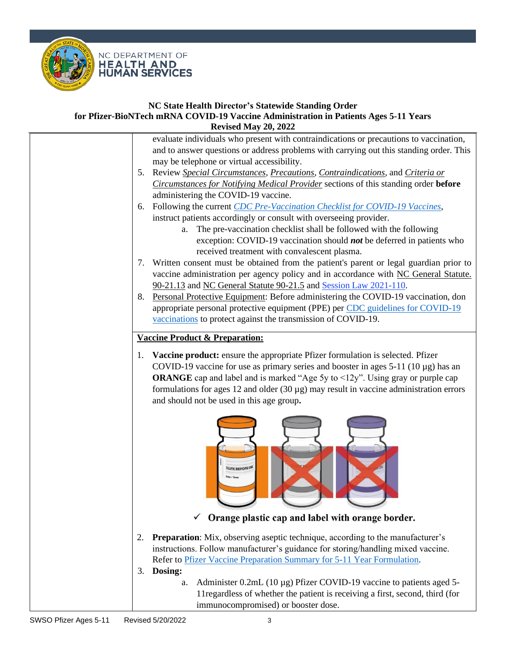

**HEALTH AND HUMAN SERVICES** 



evaluate individuals who present with contraindications or precautions to vaccination, and to answer questions or address problems with carrying out this standing order. This may be telephone or virtual accessibility. 5. Review *Special Circumstances, [Precautions,](#page-6-0) [Contraindications,](#page-6-1)* and *[Criteria or](#page-6-2)  [Circumstances for Notifying Medical Provider](#page-6-2)* sections of this standing order **before** administering the COVID-19 vaccine. 6. Following the current *[CDC Pre-Vaccination Checklist for COVID-19 Vaccines](https://www.cdc.gov/vaccines/covid-19/downloads/pre-vaccination-screening-form.pdf)*, instruct patients accordingly or consult with overseeing provider. a. The pre-vaccination checklist shall be followed with the following exception: COVID-19 vaccination should *not* be deferred in patients who received treatment with convalescent plasma. 7. Written consent must be obtained from the patient's parent or legal guardian prior to vaccine administration per agency policy and in accordance with [NC General Statute.](https://www.fda.gov/news-events/press-announcements/fda-approves-first-covid-19-vaccinehttps:/www.ncleg.net/EnactedLegislation/Statutes/PDF/BySection/Chapter_90/GS_90-21.13.pdf)  [90-21.13](https://www.fda.gov/news-events/press-announcements/fda-approves-first-covid-19-vaccinehttps:/www.ncleg.net/EnactedLegislation/Statutes/PDF/BySection/Chapter_90/GS_90-21.13.pdf) and [NC General Statute 90-21.5](https://www.ncleg.net/enactedlegislation/statutes/html/bysection/chapter_90/gs_90-21.5.html) an[d Session Law 2021-110.](https://urldefense.com/v3/__https:/ncdhhs.us4.list-manage.com/track/click?u=58ec19aaea4630b1baad0e5e4&id=ec49ec78be&e=c28fae65f3__;!!HYmSToo!LQ2Juvpob6FcAyzJyIAbvwrsNmHYtP6Zvw8KW5J-92ycHxg2A6Yemdisjz1mhd3EZOSsvSx5$) 8. Personal Protective Equipment: Before administering the COVID-19 vaccination, don appropriate personal protective equipment (PPE) per [CDC guidelines for COVID-19](https://www.cdc.gov/vaccines/hcp/admin/mass-clinic-activities/during-clinic-activities.html)  [vaccinations](https://www.cdc.gov/vaccines/hcp/admin/mass-clinic-activities/during-clinic-activities.html) to protect against the transmission of COVID-19. **Vaccine Product & Preparation:** 1. **Vaccine product:** ensure the appropriate Pfizer formulation is selected. Pfizer COVID-19 vaccine for use as primary series and booster in ages  $5-11$  ( $10 \mu$ g) has an **ORANGE** cap and label and is marked "Age 5y to  $\leq 12y$ ". Using gray or purple cap formulations for ages 12 and older  $(30 \mu g)$  may result in vaccine administration errors and should not be used in this age group**.**  $\checkmark$  Orange plastic cap and label with orange border. 2. **Preparation**: Mix, observing aseptic technique, according to the manufacturer's instructions. Follow manufacturer's guidance for storing/handling mixed vaccine. Refer to [Pfizer Vaccine Preparation Summary for 5-11 Year Formulation.](https://www.cdc.gov/vaccines/covid-19/info-by-product/pfizer/downloads/Pfizer_PED_PrepAdmin.pdf) 3. **Dosing:** a. Administer 0.2mL (10 µg) Pfizer COVID-19 vaccine to patients aged 5- 11regardless of whether the patient is receiving a first, second, third (for immunocompromised) or booster dose.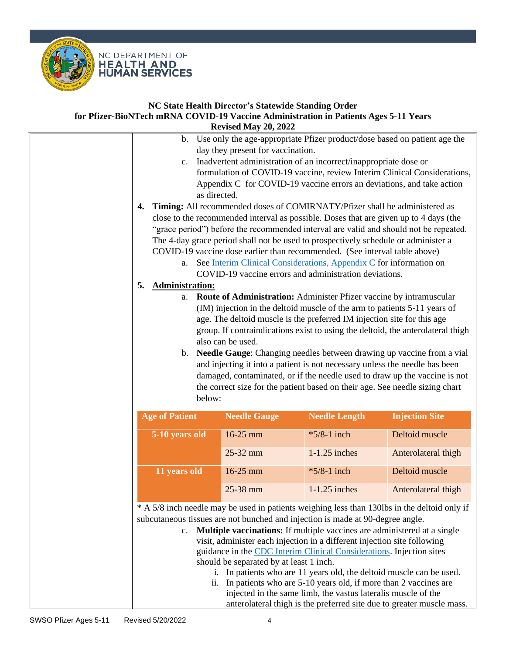

| b.                           |                                                                                                                                                  |                                                                                                                                        |                                                                           |
|------------------------------|--------------------------------------------------------------------------------------------------------------------------------------------------|----------------------------------------------------------------------------------------------------------------------------------------|---------------------------------------------------------------------------|
|                              | day they present for vaccination.                                                                                                                |                                                                                                                                        | Use only the age-appropriate Pfizer product/dose based on patient age the |
| c.                           | Inadvertent administration of an incorrect/inappropriate dose or                                                                                 |                                                                                                                                        |                                                                           |
|                              | formulation of COVID-19 vaccine, review Interim Clinical Considerations,                                                                         |                                                                                                                                        |                                                                           |
|                              | Appendix C for COVID-19 vaccine errors an deviations, and take action                                                                            |                                                                                                                                        |                                                                           |
| as directed.<br>4.           | Timing: All recommended doses of COMIRNATY/Pfizer shall be administered as                                                                       |                                                                                                                                        |                                                                           |
|                              | close to the recommended interval as possible. Doses that are given up to 4 days (the                                                            |                                                                                                                                        |                                                                           |
|                              | "grace period") before the recommended interval are valid and should not be repeated.                                                            |                                                                                                                                        |                                                                           |
|                              | The 4-day grace period shall not be used to prospectively schedule or administer a                                                               |                                                                                                                                        |                                                                           |
|                              | COVID-19 vaccine dose earlier than recommended. (See interval table above)                                                                       |                                                                                                                                        |                                                                           |
| a.                           | See Interim Clinical Considerations, Appendix C for information on                                                                               |                                                                                                                                        |                                                                           |
|                              | COVID-19 vaccine errors and administration deviations.                                                                                           |                                                                                                                                        |                                                                           |
| <b>Administration:</b><br>5. |                                                                                                                                                  |                                                                                                                                        |                                                                           |
| a.                           | Route of Administration: Administer Pfizer vaccine by intramuscular<br>(IM) injection in the deltoid muscle of the arm to patients 5-11 years of |                                                                                                                                        |                                                                           |
|                              | age. The deltoid muscle is the preferred IM injection site for this age                                                                          |                                                                                                                                        |                                                                           |
|                              | group. If contraindications exist to using the deltoid, the anterolateral thigh                                                                  |                                                                                                                                        |                                                                           |
|                              | also can be used.                                                                                                                                |                                                                                                                                        |                                                                           |
| b.                           | Needle Gauge: Changing needles between drawing up vaccine from a vial                                                                            |                                                                                                                                        |                                                                           |
|                              | and injecting it into a patient is not necessary unless the needle has been                                                                      |                                                                                                                                        |                                                                           |
|                              | damaged, contaminated, or if the needle used to draw up the vaccine is not                                                                       |                                                                                                                                        |                                                                           |
|                              | the correct size for the patient based on their age. See needle sizing chart                                                                     |                                                                                                                                        |                                                                           |
|                              |                                                                                                                                                  |                                                                                                                                        |                                                                           |
| below:                       |                                                                                                                                                  |                                                                                                                                        |                                                                           |
| <b>Age of Patient</b>        | <b>Needle Gauge</b>                                                                                                                              | <b>Needle Length</b>                                                                                                                   | <b>Injection Site</b>                                                     |
| 5-10 years old               | 16-25 mm                                                                                                                                         | *5/8-1 inch                                                                                                                            | Deltoid muscle                                                            |
|                              | 25-32 mm                                                                                                                                         | $1-1.25$ inches                                                                                                                        | Anterolateral thigh                                                       |
| 11 years old                 | 16-25 mm                                                                                                                                         | $*5/8-1$ inch                                                                                                                          | Deltoid muscle                                                            |
|                              | 25-38 mm                                                                                                                                         | $1-1.25$ inches                                                                                                                        | Anterolateral thigh                                                       |
|                              | * A 5/8 inch needle may be used in patients weighing less than 130lbs in the deltoid only if                                                     |                                                                                                                                        |                                                                           |
|                              | subcutaneous tissues are not bunched and injection is made at 90-degree angle.                                                                   |                                                                                                                                        |                                                                           |
| c.                           | Multiple vaccinations: If multiple vaccines are administered at a single                                                                         |                                                                                                                                        |                                                                           |
|                              | visit, administer each injection in a different injection site following                                                                         |                                                                                                                                        |                                                                           |
|                              | guidance in the CDC Interim Clinical Considerations. Injection sites                                                                             |                                                                                                                                        |                                                                           |
|                              | should be separated by at least 1 inch.                                                                                                          |                                                                                                                                        |                                                                           |
|                              | i. In patients who are 11 years old, the deltoid muscle can be used.<br>ii. In patients who are 5-10 years old, if more than 2 vaccines are      |                                                                                                                                        |                                                                           |
|                              |                                                                                                                                                  | injected in the same limb, the vastus lateralis muscle of the<br>anterolateral thigh is the preferred site due to greater muscle mass. |                                                                           |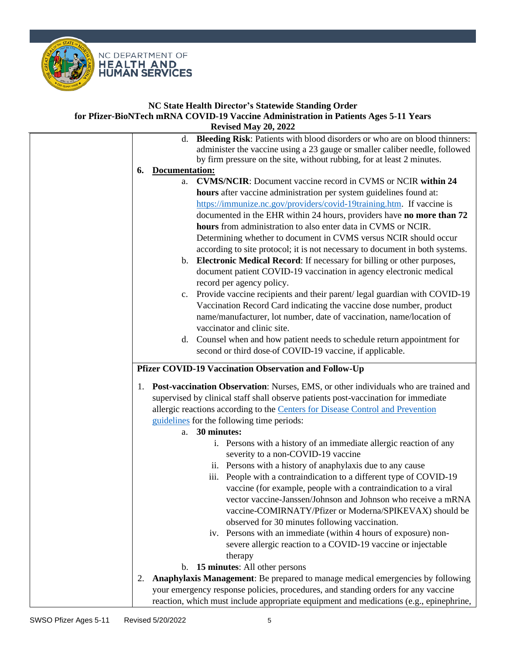

|    | <b>Revised May 20, 2022</b>                                                                                                                                                                                                               |
|----|-------------------------------------------------------------------------------------------------------------------------------------------------------------------------------------------------------------------------------------------|
|    | Bleeding Risk: Patients with blood disorders or who are on blood thinners:<br>d.<br>administer the vaccine using a 23 gauge or smaller caliber needle, followed<br>by firm pressure on the site, without rubbing, for at least 2 minutes. |
| 6. | Documentation:                                                                                                                                                                                                                            |
|    | <b>CVMS/NCIR:</b> Document vaccine record in CVMS or NCIR within 24<br>a.                                                                                                                                                                 |
|    | hours after vaccine administration per system guidelines found at:                                                                                                                                                                        |
|    | https://immunize.nc.gov/providers/covid-19training.htm. If vaccine is                                                                                                                                                                     |
|    | documented in the EHR within 24 hours, providers have no more than 72                                                                                                                                                                     |
|    | hours from administration to also enter data in CVMS or NCIR.                                                                                                                                                                             |
|    | Determining whether to document in CVMS versus NCIR should occur                                                                                                                                                                          |
|    | according to site protocol; it is not necessary to document in both systems.                                                                                                                                                              |
|    | Electronic Medical Record: If necessary for billing or other purposes,<br>b.                                                                                                                                                              |
|    | document patient COVID-19 vaccination in agency electronic medical                                                                                                                                                                        |
|    | record per agency policy.                                                                                                                                                                                                                 |
|    | Provide vaccine recipients and their parent/legal guardian with COVID-19<br>$c_{\cdot}$                                                                                                                                                   |
|    | Vaccination Record Card indicating the vaccine dose number, product                                                                                                                                                                       |
|    | name/manufacturer, lot number, date of vaccination, name/location of                                                                                                                                                                      |
|    | vaccinator and clinic site.                                                                                                                                                                                                               |
|    | d. Counsel when and how patient needs to schedule return appointment for                                                                                                                                                                  |
|    | second or third dose-of COVID-19 vaccine, if applicable.                                                                                                                                                                                  |
|    |                                                                                                                                                                                                                                           |
|    | Pfizer COVID-19 Vaccination Observation and Follow-Up                                                                                                                                                                                     |
| 1. | <b>Post-vaccination Observation:</b> Nurses, EMS, or other individuals who are trained and                                                                                                                                                |
|    | supervised by clinical staff shall observe patients post-vaccination for immediate                                                                                                                                                        |
|    | allergic reactions according to the Centers for Disease Control and Prevention                                                                                                                                                            |
|    | guidelines for the following time periods:                                                                                                                                                                                                |
|    | a. 30 minutes:                                                                                                                                                                                                                            |
|    | i. Persons with a history of an immediate allergic reaction of any                                                                                                                                                                        |
|    | severity to a non-COVID-19 vaccine                                                                                                                                                                                                        |
|    | ii. Persons with a history of anaphylaxis due to any cause                                                                                                                                                                                |
|    | People with a contraindication to a different type of COVID-19<br>iii.                                                                                                                                                                    |
|    | vaccine (for example, people with a contraindication to a viral                                                                                                                                                                           |
|    | vector vaccine-Janssen/Johnson and Johnson who receive a mRNA                                                                                                                                                                             |
|    | vaccine-COMIRNATY/Pfizer or Moderna/SPIKEVAX) should be                                                                                                                                                                                   |
|    | observed for 30 minutes following vaccination.                                                                                                                                                                                            |
|    | iv. Persons with an immediate (within 4 hours of exposure) non-                                                                                                                                                                           |
|    | severe allergic reaction to a COVID-19 vaccine or injectable                                                                                                                                                                              |
|    |                                                                                                                                                                                                                                           |
|    | therapy                                                                                                                                                                                                                                   |
|    | b. 15 minutes: All other persons                                                                                                                                                                                                          |
| 2. | Anaphylaxis Management: Be prepared to manage medical emergencies by following                                                                                                                                                            |
|    | your emergency response policies, procedures, and standing orders for any vaccine                                                                                                                                                         |
|    | reaction, which must include appropriate equipment and medications (e.g., epinephrine,                                                                                                                                                    |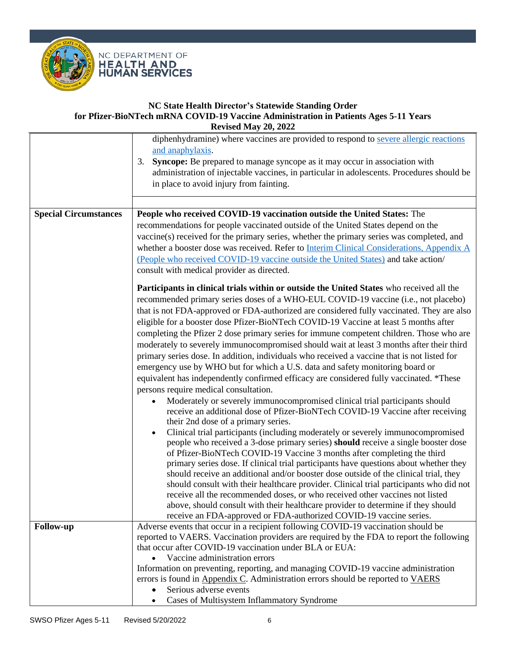

|                              | diphenhydramine) where vaccines are provided to respond to severe allergic reactions<br>and anaphylaxis.<br>Syncope: Be prepared to manage syncope as it may occur in association with<br>3.<br>administration of injectable vaccines, in particular in adolescents. Procedures should be<br>in place to avoid injury from fainting.                                                                                                                                                                                                                                                                                                                                                                                                                                                                                                                                                                                                                                                                                                                                                                                                                                                                                                                                                                                                                                                                                                                                                                                                                                                                                                                                                                                                                                                                                                                            |
|------------------------------|-----------------------------------------------------------------------------------------------------------------------------------------------------------------------------------------------------------------------------------------------------------------------------------------------------------------------------------------------------------------------------------------------------------------------------------------------------------------------------------------------------------------------------------------------------------------------------------------------------------------------------------------------------------------------------------------------------------------------------------------------------------------------------------------------------------------------------------------------------------------------------------------------------------------------------------------------------------------------------------------------------------------------------------------------------------------------------------------------------------------------------------------------------------------------------------------------------------------------------------------------------------------------------------------------------------------------------------------------------------------------------------------------------------------------------------------------------------------------------------------------------------------------------------------------------------------------------------------------------------------------------------------------------------------------------------------------------------------------------------------------------------------------------------------------------------------------------------------------------------------|
| <b>Special Circumstances</b> | People who received COVID-19 vaccination outside the United States: The<br>recommendations for people vaccinated outside of the United States depend on the<br>vaccine(s) received for the primary series, whether the primary series was completed, and<br>whether a booster dose was received. Refer to Interim Clinical Considerations, Appendix A<br>(People who received COVID-19 vaccine outside the United States) and take action/<br>consult with medical provider as directed.                                                                                                                                                                                                                                                                                                                                                                                                                                                                                                                                                                                                                                                                                                                                                                                                                                                                                                                                                                                                                                                                                                                                                                                                                                                                                                                                                                        |
|                              | Participants in clinical trials within or outside the United States who received all the<br>recommended primary series doses of a WHO-EUL COVID-19 vaccine (i.e., not placebo)<br>that is not FDA-approved or FDA-authorized are considered fully vaccinated. They are also<br>eligible for a booster dose Pfizer-BioNTech COVID-19 Vaccine at least 5 months after<br>completing the Pfizer 2 dose primary series for immune competent children. Those who are<br>moderately to severely immunocompromised should wait at least 3 months after their third<br>primary series dose. In addition, individuals who received a vaccine that is not listed for<br>emergency use by WHO but for which a U.S. data and safety monitoring board or<br>equivalent has independently confirmed efficacy are considered fully vaccinated. *These<br>persons require medical consultation.<br>Moderately or severely immunocompromised clinical trial participants should<br>receive an additional dose of Pfizer-BioNTech COVID-19 Vaccine after receiving<br>their 2nd dose of a primary series.<br>Clinical trial participants (including moderately or severely immunocompromised<br>people who received a 3-dose primary series) should receive a single booster dose<br>of Pfizer-BioNTech COVID-19 Vaccine 3 months after completing the third<br>primary series dose. If clinical trial participants have questions about whether they<br>should receive an additional and/or booster dose outside of the clinical trial, they<br>should consult with their healthcare provider. Clinical trial participants who did not<br>receive all the recommended doses, or who received other vaccines not listed<br>above, should consult with their healthcare provider to determine if they should<br>receive an FDA-approved or FDA-authorized COVID-19 vaccine series. |
| <b>Follow-up</b>             | Adverse events that occur in a recipient following COVID-19 vaccination should be<br>reported to VAERS. Vaccination providers are required by the FDA to report the following<br>that occur after COVID-19 vaccination under BLA or EUA:<br>Vaccine administration errors<br>Information on preventing, reporting, and managing COVID-19 vaccine administration<br>errors is found in Appendix C. Administration errors should be reported to VAERS<br>Serious adverse events<br>Cases of Multisystem Inflammatory Syndrome                                                                                                                                                                                                                                                                                                                                                                                                                                                                                                                                                                                                                                                                                                                                                                                                                                                                                                                                                                                                                                                                                                                                                                                                                                                                                                                                     |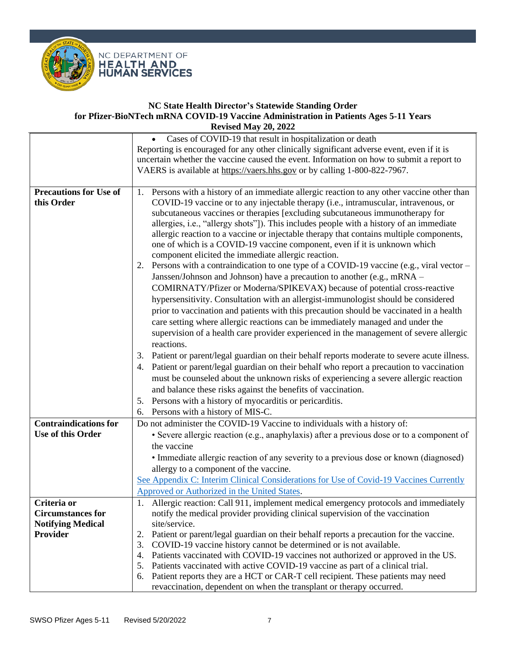

<span id="page-6-2"></span><span id="page-6-1"></span><span id="page-6-0"></span>

|                               | • Cases of COVID-19 that result in hospitalization or death                                      |
|-------------------------------|--------------------------------------------------------------------------------------------------|
|                               | Reporting is encouraged for any other clinically significant adverse event, even if it is        |
|                               | uncertain whether the vaccine caused the event. Information on how to submit a report to         |
|                               | VAERS is available at https://vaers.hhs.gov or by calling 1-800-822-7967.                        |
|                               |                                                                                                  |
| <b>Precautions for Use of</b> | 1. Persons with a history of an immediate allergic reaction to any other vaccine other than      |
| this Order                    | COVID-19 vaccine or to any injectable therapy (i.e., intramuscular, intravenous, or              |
|                               | subcutaneous vaccines or therapies [excluding subcutaneous immunotherapy for                     |
|                               | allergies, i.e., "allergy shots"]). This includes people with a history of an immediate          |
|                               | allergic reaction to a vaccine or injectable therapy that contains multiple components,          |
|                               | one of which is a COVID-19 vaccine component, even if it is unknown which                        |
|                               | component elicited the immediate allergic reaction.                                              |
|                               | Persons with a contraindication to one type of a COVID-19 vaccine (e.g., viral vector –<br>2.    |
|                               | Janssen/Johnson and Johnson) have a precaution to another (e.g., mRNA –                          |
|                               | COMIRNATY/Pfizer or Moderna/SPIKEVAX) because of potential cross-reactive                        |
|                               | hypersensitivity. Consultation with an allergist-immunologist should be considered               |
|                               | prior to vaccination and patients with this precaution should be vaccinated in a health          |
|                               | care setting where allergic reactions can be immediately managed and under the                   |
|                               | supervision of a health care provider experienced in the management of severe allergic           |
|                               | reactions.                                                                                       |
|                               | Patient or parent/legal guardian on their behalf reports moderate to severe acute illness.<br>3. |
|                               | Patient or parent/legal guardian on their behalf who report a precaution to vaccination<br>4.    |
|                               | must be counseled about the unknown risks of experiencing a severe allergic reaction             |
|                               | and balance these risks against the benefits of vaccination.                                     |
|                               |                                                                                                  |
|                               | Persons with a history of myocarditis or pericarditis.<br>5.                                     |
|                               | Persons with a history of MIS-C.<br>6.                                                           |
| <b>Contraindications for</b>  | Do not administer the COVID-19 Vaccine to individuals with a history of:                         |
| Use of this Order             | • Severe allergic reaction (e.g., anaphylaxis) after a previous dose or to a component of        |
|                               | the vaccine                                                                                      |
|                               | • Immediate allergic reaction of any severity to a previous dose or known (diagnosed)            |
|                               | allergy to a component of the vaccine.                                                           |
|                               | See Appendix C: Interim Clinical Considerations for Use of Covid-19 Vaccines Currently           |
|                               | Approved or Authorized in the United States.                                                     |
| Criteria or                   | 1. Allergic reaction: Call 911, implement medical emergency protocols and immediately            |
| <b>Circumstances for</b>      | notify the medical provider providing clinical supervision of the vaccination                    |
| <b>Notifying Medical</b>      | site/service.                                                                                    |
| <b>Provider</b>               | Patient or parent/legal guardian on their behalf reports a precaution for the vaccine.<br>2.     |
|                               | COVID-19 vaccine history cannot be determined or is not available.<br>3.                         |
|                               | Patients vaccinated with COVID-19 vaccines not authorized or approved in the US.<br>4.           |
|                               | Patients vaccinated with active COVID-19 vaccine as part of a clinical trial.<br>5.              |
|                               | Patient reports they are a HCT or CAR-T cell recipient. These patients may need<br>6.            |
|                               | revaccination, dependent on when the transplant or therapy occurred.                             |